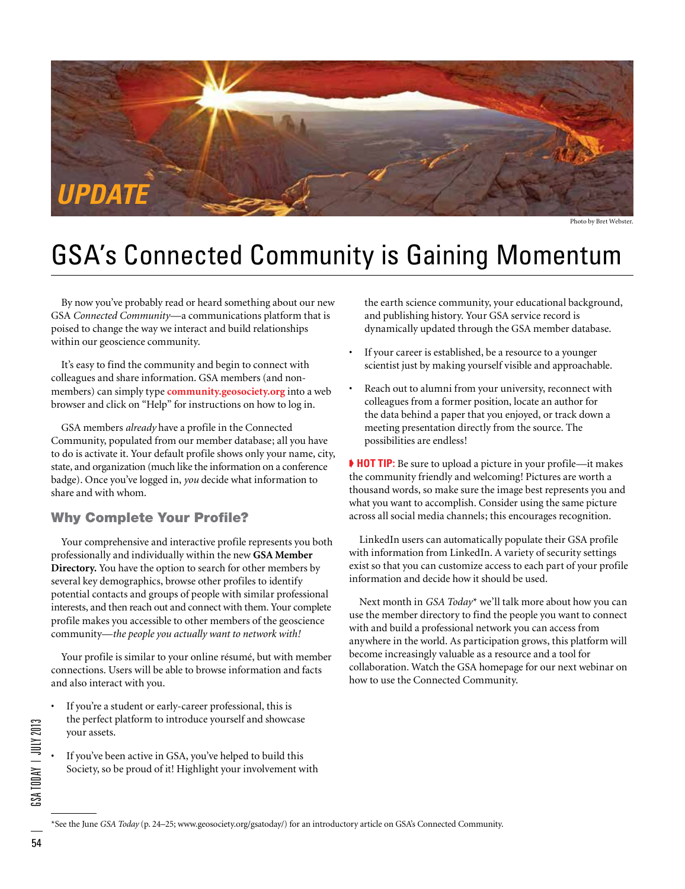

Photo by Bret Webster.

## GSA's Connected Community is Gaining Momentum

By now you've probably read or heard something about our new GSA *Connected Community*—a communications platform that is poised to change the way we interact and build relationships within our geoscience community.

It's easy to find the community and begin to connect with colleagues and share information. GSA members (and nonmembers) can simply type **community.geosociety.org** into a web browser and click on "Help" for instructions on how to log in.

GSA members *already* have a profile in the Connected Community, populated from our member database; all you have to do is activate it. Your default profile shows only your name, city, state, and organization (much like the information on a conference badge). Once you've logged in, *you* decide what information to share and with whom.

#### Why Complete Your Profile?

Your comprehensive and interactive profile represents you both professionally and individually within the new **GSA Member Directory.** You have the option to search for other members by several key demographics, browse other profiles to identify potential contacts and groups of people with similar professional interests, and then reach out and connect with them. Your complete profile makes you accessible to other members of the geoscience community—*the people you actually want to network with!*

Your profile is similar to your online résumé, but with member connections. Users will be able to browse information and facts and also interact with you.

- If you're a student or early-career professional, this is the perfect platform to introduce yourself and showcase your assets.
- If you've been active in GSA, you've helped to build this Society, so be proud of it! Highlight your involvement with

the earth science community, your educational background, and publishing history. Your GSA service record is dynamically updated through the GSA member database.

- If your career is established, be a resource to a younger scientist just by making yourself visible and approachable.
- Reach out to alumni from your university, reconnect with colleagues from a former position, locate an author for the data behind a paper that you enjoyed, or track down a meeting presentation directly from the source. The possibilities are endless!

➧ **HOT TIP:** Be sure to upload a picture in your profile—it makes the community friendly and welcoming! Pictures are worth a thousand words, so make sure the image best represents you and what you want to accomplish. Consider using the same picture across all social media channels; this encourages recognition.

LinkedIn users can automatically populate their GSA profile with information from LinkedIn. A variety of security settings exist so that you can customize access to each part of your profile information and decide how it should be used.

Next month in *GSA Today*\* we'll talk more about how you can use the member directory to find the people you want to connect with and build a professional network you can access from anywhere in the world. As participation grows, this platform will become increasingly valuable as a resource and a tool for collaboration. Watch the GSA homepage for our next webinar on how to use the Connected Community.

 $$ 54GSA Today | July 2013<br>54GSA Today | July 2013

\*See the June *GSA Today* (p. 24–25; www.geosociety.org/gsatoday/) for an introductory article on GSA's Connected Community.